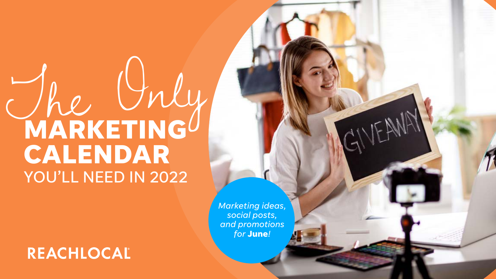# The Only **MARKETING CALENDAR** YOU'LL NEED IN 2022

## REACHLOCAL

*Marketing ideas, social posts, and promotions for* **June***!* 

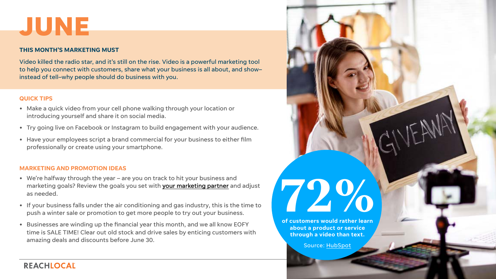# **JUNE**

### **THIS MONTH'S MARKETING MUST**

Video killed the radio star, and it's still on the rise. Video is a powerful marketing tool to help you connect with customers, share what your business is all about, and show– instead of tell–why people should do business with you.

### **QUICK TIPS**

- Make a quick video from your cell phone walking through your location or introducing yourself and share it on social media.
- Try going live on Facebook or Instagram to build engagement with your audience.
- Have your employees script a brand commercial for your business to either film professionally or create using your smartphone.

### **MARKETING AND PROMOTION IDEAS**

- We're halfway through the year are you on track to hit your business and marketing goals? Review the goals you set with **your marketing partner** and adjust as needed.
- If your business falls under the air conditioning and gas industry, this is the time to push a winter sale or promotion to get more people to try out your business.
- Businesses are winding up the financial year this month, and we all know EOFY time is SALE TIME! Clear out old stock and drive sales by enticing customers with amazing deals and discounts before June 30.



### REACHLOCAL